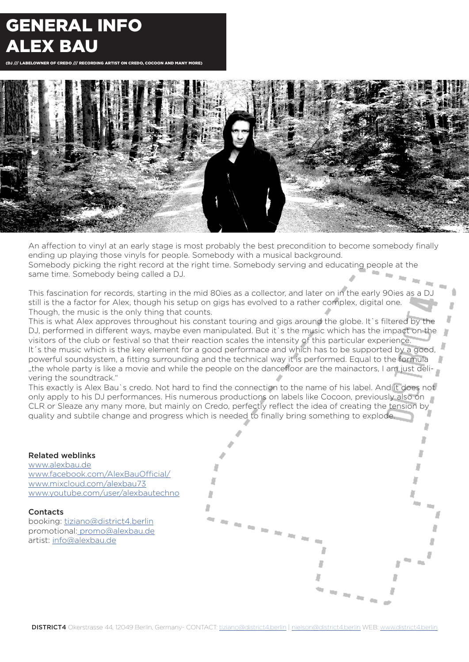# GENERAL INFO ALEX BAU

(DJ /// LABELOWNER OF CREDO /// RECORDING ARTIST ON CREDO, COCOON AND MANY MORE)



An affection to vinyl at an early stage is most probably the best precondition to become somebody finally ending up playing those vinyls for people. Somebody with a musical background. Somebody picking the right record at the right time. Somebody serving and educating people at the same time. Somebody being called a DJ.

This fascination for records, starting in the mid 80ies as a collector, and later on in the early 90ies as a DJ still is the a factor for Alex, though his setup on gigs has evolved to a rather complex, digital one. Though, the music is the only thing that counts.

This is what Alex approves throughout his constant touring and gigs around the globe. It`s filtered by the DJ, performed in different ways, maybe even manipulated. But it's the music which has the impact on the visitors of the club or festival so that their reaction scales the intensity of this particular experience. It's the music which is the key element for a good performace and which has to be supported by a good, powerful soundsystem, a fitting surrounding and the technical way it is performed. Equal to the formula "the whole party is like a movie and while the people on the dancefloor are the mainactors, I am just delivering the soundtrack."

This exactly is Alex Bau`s credo. Not hard to find the connection to the name of his label. And it does not only apply to his DJ performances. His numerous productions on labels like Cocoon, previously also on CLR or Sleaze any many more, but mainly on Credo, perfectly reflect the idea of creating the tension by quality and subtile change and progress which is needed to finally bring something to explode.

### Related weblinks

www.alexbau.de www.facebook.com/AlexBauOfficial/ www.mixcloud.com/alexbau73 www.youtube.com/user/alexbautechno

**Contacts** booking: tiziano@district4.berlin promotional: promo@alexbau.de artist: info@alexbau.de

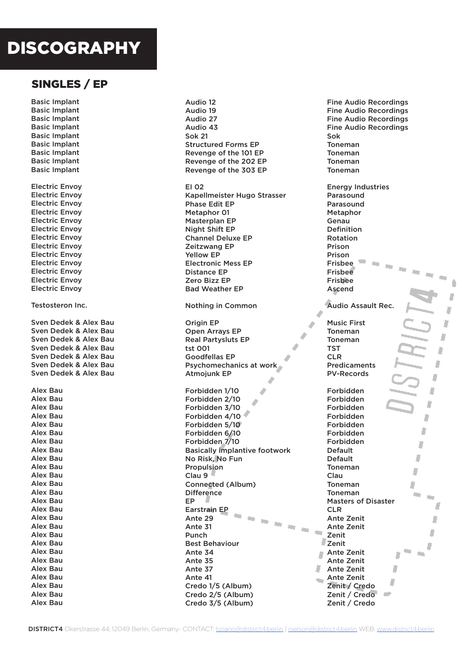# DISCOGRAPHY

## SINGLES / EP

Basic Implant Basic Implant Basic Implant Basic Implant Basic Implant Basic Implant Basic Implant Basic Implant Basic Implant Electric Envoy Electric Envoy Electric Envoy Electric Envoy Electric Envoy Electric Envoy Electric Envoy Electric Envoy Electric Envoy Electric Envoy Electric Envoy Electric Envoy Electric Envoy Testosteron Inc. Sven Dedek & Alex Bau Sven Dedek & Alex Bau Sven Dedek & Alex Bau Sven Dedek & Alex Bau Sven Dedek & Alex Bau Sven Dedek & Alex Bau Sven Dedek & Alex Bau Alex Bau Alex Bau Alex Bau Alex Bau Alex Bau Alex Bau Alex Bau Alex Bau Alex Bau Alex Bau Alex Bau Alex Bau Alex Bau Alex Bau Alex Bau Alex Bau Alex Bau Alex Bau Alex Bau Alex Bau Alex Bau Alex Bau Alex Bau Alex Bau Alex Bau Alex Bau

#### Audio 12 Fine Audio Recordings Audio 19 Audio 27 Audio 43 Sok 21 Structured Forms EP Revenge of the 101 EP Revenge of the 202 EP Revenge of the 303 EP EI 02 Kapellmeister Hugo Strasser Phase Edit EP Metaphor 01 Masterplan EP Night Shift EP Channel Deluxe EP Zeitzwang EP Yellow EP Electronic Mess EP Distance EP Zero Bizz EP Bad Weather EP Nothing in Common Origin EP Open Arrays EP Real Partysluts EP tst 001 Goodfellas EP Psychomechanics at work Atmojunk EP Forbidden 1/10 Forbidden 2/10 Forbidden 3/10 Forbidden 4/10 Forbidden 5/10 Forbidden 6/10 Forbidden 7/10 Basically implantive footwork No Risk, No Fun Propulsion Clau 9 Connected (Album) **Difference** EP Earstrain EP  $\mathcal{C}_{\text{int}}$ Ante 29  $\lambda$  $\lambda_{\rm{H}\,f}$ Ante 31 Aug.  $\mathcal{C}^{\text{loc}}_{\text{loc}}$ Punch Best Behaviour Ante 34 F Ante 35 Ante 37 Ante 41 Credo 1/5 (Album) Credo 2/5 (Album) Credo 3/5 (Album)

Fine Audio Recordings Fine Audio Recordings Fine Audio Recordings Sok Toneman Toneman Toneman Toneman Energy Industries Parasound Parasound Metaphor Genau Definition Rotation Prison Prison Frisbee Frisbee Frisbee Ascend Audio Assault Rec. J Music First Toneman J Toneman TST Ď CLR J Predicaments PV-Records ij Forbidden ż Forbidden Ù Forbidden Forbidden D Forbidden D Forbidden Forbidden J Default Default Ì Toneman J Clau Toneman Þ Toneman in, **COLLEGE** Masters of Disaster J CL<sub>R</sub> Ante Zenit ż Ante Zenit J Zenit Zenit J Ante Zenit ٠  $\sim$ Ĵ Ante Zenit Ante Zenit л Ante Zenit J Zenit / Credo Zenit / Credo  $\sim$ Zenit / Credo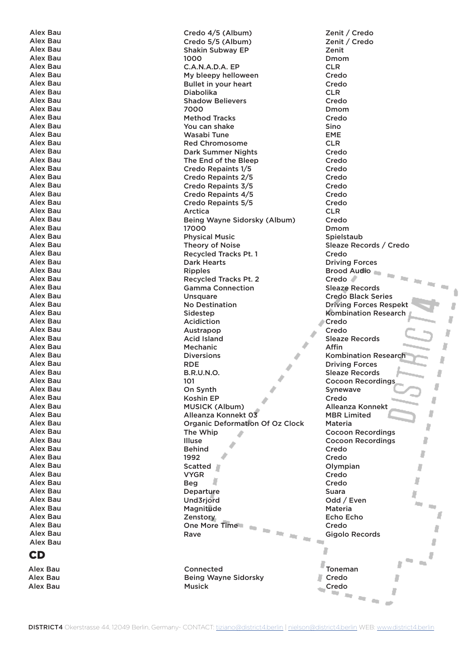Alex Bau Alex Bau Alex Bau Alex Bau Alex Bau Alex Bau Alex Bau Alex Bau Alex Bau Alex Bau Alex Bau Alex Bau Alex Bau Alex Bau Alex Bau Alex Bau Alex Bau Alex Bau Alex Bau Alex Bau Alex Bau Alex Bau Alex Bau Alex Bau Alex Bau Alex Bau Alex Bau Alex Bau Alex Bau Alex Bau Alex Bau Alex Bau Alex Bau Alex Bau Alex Bau Alex Bau Alex Bau Alex Bau Alex Bau Alex Bau Alex Bau Alex Bau Alex Bau Alex Bau Alex Bau Alex Bau Alex Bau Alex Bau Alex Bau Alex Bau Alex Bau Alex Bau Alex Bau Alex Bau Alex Bau Alex Bau Alex Bau Alex Bau Alex Bau Alex Bau Alex Bau CD

Alex Bau Alex Bau Alex Bau

Credo 4/5 (Album) Credo 5/5 (Album) Shakin Subway EP 1000 C.A.N.A.D.A. EP My bleepy helloween Bullet in your heart Diabolika Shadow Believers 7000 Method Tracks You can shake Wasabi Tune Red Chromosome Dark Summer Nights The End of the Bleep Credo Repaints 1/5 Credo Repaints 2/5 Credo Repaints 3/5 Credo Repaints 4/5 Credo Repaints 5/5 Arctica Being Wayne Sidorsky (Album) 17000 Physical Music Theory of Noise Recycled Tracks Pt. 1 Dark Hearts Ripples Recycled Tracks Pt. 2 Gamma Connection **Unsquare** No Destination Sidestep Acidiction Austrapop Acid Island Mechanic Diversions RDE B.R.U.N.O. 101 On Synth Koshin EP MUSICK (Album) Alleanza Konnekt 03 Organic Deformation Of Oz Clock The Whip ◢ Illuse **Behind** 1992 Scatted **N** VYGR Beg **Departure** Und3rjord Magnitude Zenstory One More Time Aug.  $\mathcal{H}_{\mathcal{M}}$  . Rave  $m_{\tilde{t} \to \tilde{\eta} \tilde{\eta}}$ 

Connected Being Wayne Sidorsky Musick

Zenit / Credo Zenit / Credo Zenit Dmom CLR Credo Credo CLR Credo Dmom Credo Sino EME CLR Credo Credo Credo Credo Credo Credo Credo CLR Credo Dmom Spielstaub Sleaze Records / Credo Credo Driving Forces Brood Audio  $\sim$  $\bar{R}_{\rm H}$ Credo in. Sleaze Records Credo Black Series Driving Forces Respekt Kombination Research Credo Credo Sleaze Records Affin Kombination Research J Driving Forces Sleaze Records Л Cocoon Recordings J Synewave **Credo** đ Alleanza Konnekt Ù MBR Limited Materia J Cocoon Recordings D Cocoon Recordings Credo D Credo Olympian J Credo Ì Credo Suara Ù Odd / Even in. **COL** Materia Л Echo Echo Credo Ž Gigolo Records  $\sim$ л ı J  $\blacksquare$ D Toneman J. Credo J Credo

> a.  $\sim$

Ê

л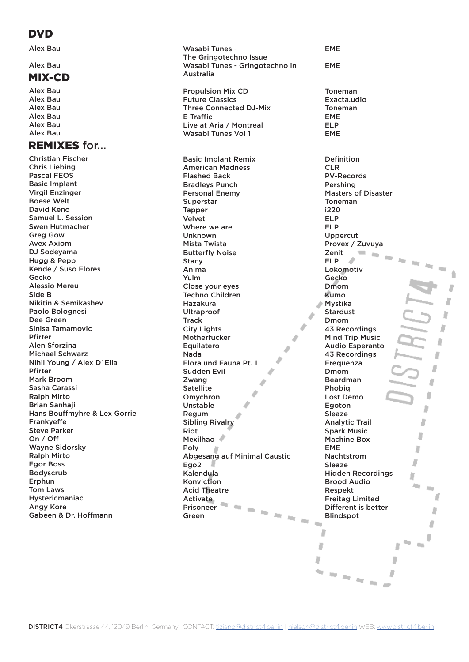## **DVD**

Alex Bau

### Alex Bau

## MIX-CD

Alex Bau Alex Bau Alex Bau Alex Bau Alex Bau Alex Bau

## REMIXES for...

Christian Fischer Chris Liebing Pascal FEOS Basic Implant Virgil Enzinger Boese Welt David Keno Samuel L. Session Swen Hutmacher Greg Gow Avex Axiom DJ Sodeyama Hugg & Pepp Kende / Suso Flores Gecko Alessio Mereu Side B Nikitin & Semikashev Paolo Bolognesi Dee Green Sinisa Tamamovic Pfirter Alen Sforzina Michael Schwarz Nihil Young / Alex D`Elia Pfirter Mark Broom Sasha Carassi Ralph Mirto Brian Sanhaji Hans Bouffmyhre & Lex Gorrie Frankyeffe Steve Parker On / Off Wayne Sidorsky Ralph Mirto Egor Boss Bodyscrub Erphun Tom Laws Hystericmaniac Angy Kore Gabeen & Dr. Hoffmann

Wasabi Tunes - The Gringotechno Issue Wasabi Tunes - Gringotechno in Australia Propulsion Mix CD Future Classics Three Connected DJ-Mix E-Traffic Live at Aria / Montreal Wasabi Tunes Vol 1 Basic Implant Remix American Madness Flashed Back Bradleys Punch Personal Enemy Superstar Tapper Velvet Where we are Unknown Mista Twista Butterfly Noise **Stacy** Anima Yulm Close your eyes Techno Children Hazakura Ultraproof **Track** City Lights Motherfucker Equilatero Nada Flora und Fauna Pt. 1 Sudden Evil Zwang **Satellite** Omychron Unstable Regum Sibling Rivalry Riot Mexilhao Poly Abgesang auf Minimal Caustic Ego2 Kalendula Konviction Acid Theatre Activate a m Prisoneer  $\mathcal{C}^{\mathrm{an}}$ na na na na Green

EME Toneman Exacta.udio Toneman EME ELP EME Definition CLR PV-Records Pershing Masters of Disaster Toneman i220 ELP ELP Uppercut Provex / Zuvuya Zenit  $\mathbf{r}$ ELP Lokomotiv Gecko Dmom Kumo ä Mystika Stardust b Dmom J 43 Recordings Mind Trip Music Ď Audio Esperanto 43 Recordings J Frequenza л Dmom Beardman J) Phobiq Ù Lost Demo Egoton D Sleaze D Analytic Trail Spark Music D Machine Box EME J Nachtstrom Ù Sleaze Hidden Recordings D Brood Audio in. Respekt f Freitag Limited Different is better a Blindspot  $\sim$ Л J J J  $\mathcal{L}_{\text{max}}$ D J D n n n n

 $\overline{\phantom{a}}$ 

EME